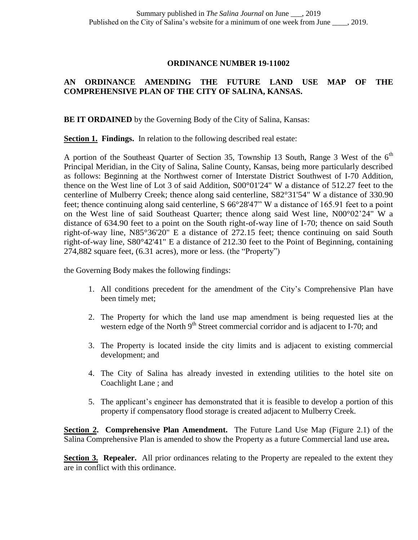## **ORDINANCE NUMBER 19-11002**

## **AN ORDINANCE AMENDING THE FUTURE LAND USE MAP OF THE COMPREHENSIVE PLAN OF THE CITY OF SALINA, KANSAS.**

**BE IT ORDAINED** by the Governing Body of the City of Salina, Kansas:

**Section 1. Findings.** In relation to the following described real estate:

A portion of the Southeast Quarter of Section 35, Township 13 South, Range 3 West of the  $6<sup>th</sup>$ Principal Meridian, in the City of Salina, Saline County, Kansas, being more particularly described as follows: Beginning at the Northwest corner of Interstate District Southwest of I-70 Addition, thence on the West line of Lot 3 of said Addition, S00°01'24" W a distance of 512.27 feet to the centerline of Mulberry Creek; thence along said centerline, S82°31'54" W a distance of 330.90 feet; thence continuing along said centerline, S 66°28'47" W a distance of 165.91 feet to a point on the West line of said Southeast Quarter; thence along said West line, N00°02'24" W a distance of 634.90 feet to a point on the South right-of-way line of I-70; thence on said South right-of-way line, N85°36'20" E a distance of 272.15 feet; thence continuing on said South right-of-way line, S80°42'41" E a distance of 212.30 feet to the Point of Beginning, containing 274,882 square feet, (6.31 acres), more or less. (the "Property")

the Governing Body makes the following findings:

- 1. All conditions precedent for the amendment of the City's Comprehensive Plan have been timely met;
- 2. The Property for which the land use map amendment is being requested lies at the western edge of the North  $9<sup>th</sup>$  Street commercial corridor and is adjacent to I-70; and
- 3. The Property is located inside the city limits and is adjacent to existing commercial development; and
- 4. The City of Salina has already invested in extending utilities to the hotel site on Coachlight Lane ; and
- 5. The applicant's engineer has demonstrated that it is feasible to develop a portion of this property if compensatory flood storage is created adjacent to Mulberry Creek.

**<u>Section 2</u>. Comprehensive Plan Amendment.** The Future Land Use Map (Figure 2.1) of the Salina Comprehensive Plan is amended to show the Property as a future Commercial land use area**.**

**Section 3. Repealer.** All prior ordinances relating to the Property are repealed to the extent they are in conflict with this ordinance.